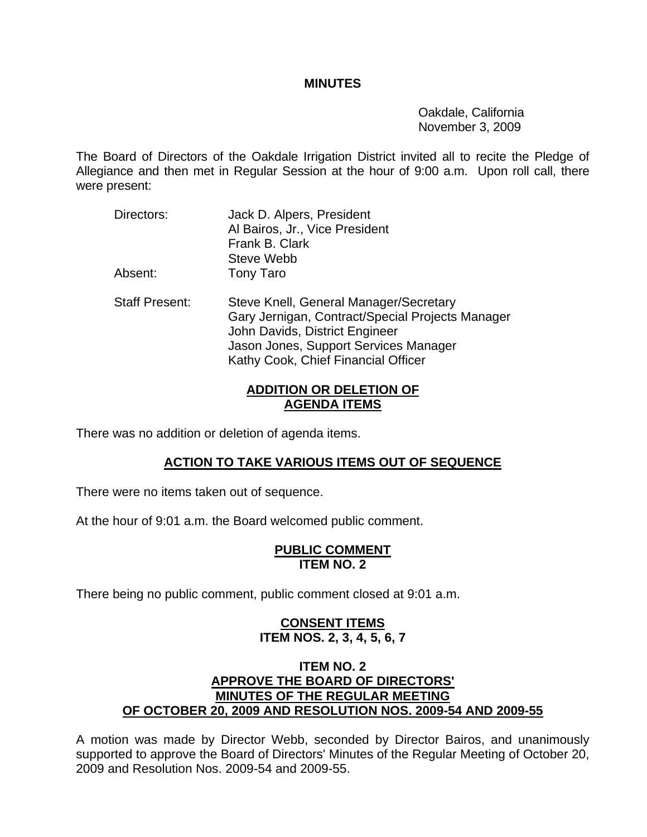#### **MINUTES**

 Oakdale, California November 3, 2009

The Board of Directors of the Oakdale Irrigation District invited all to recite the Pledge of Allegiance and then met in Regular Session at the hour of 9:00 a.m. Upon roll call, there were present:

- Directors: Jack D. Alpers, President Al Bairos, Jr., Vice President Frank B. Clark Steve Webb Absent: Tony Taro
- Staff Present: Steve Knell, General Manager/Secretary Gary Jernigan, Contract/Special Projects Manager John Davids, District Engineer Jason Jones, Support Services Manager Kathy Cook, Chief Financial Officer

# **ADDITION OR DELETION OF AGENDA ITEMS**

There was no addition or deletion of agenda items.

# **ACTION TO TAKE VARIOUS ITEMS OUT OF SEQUENCE**

There were no items taken out of sequence.

At the hour of 9:01 a.m. the Board welcomed public comment.

#### **PUBLIC COMMENT ITEM NO. 2**

There being no public comment, public comment closed at 9:01 a.m.

# **CONSENT ITEMS ITEM NOS. 2, 3, 4, 5, 6, 7**

# **ITEM NO. 2 APPROVE THE BOARD OF DIRECTORS' MINUTES OF THE REGULAR MEETING OF OCTOBER 20, 2009 AND RESOLUTION NOS. 2009-54 AND 2009-55**

A motion was made by Director Webb, seconded by Director Bairos, and unanimously supported to approve the Board of Directors' Minutes of the Regular Meeting of October 20, 2009 and Resolution Nos. 2009-54 and 2009-55.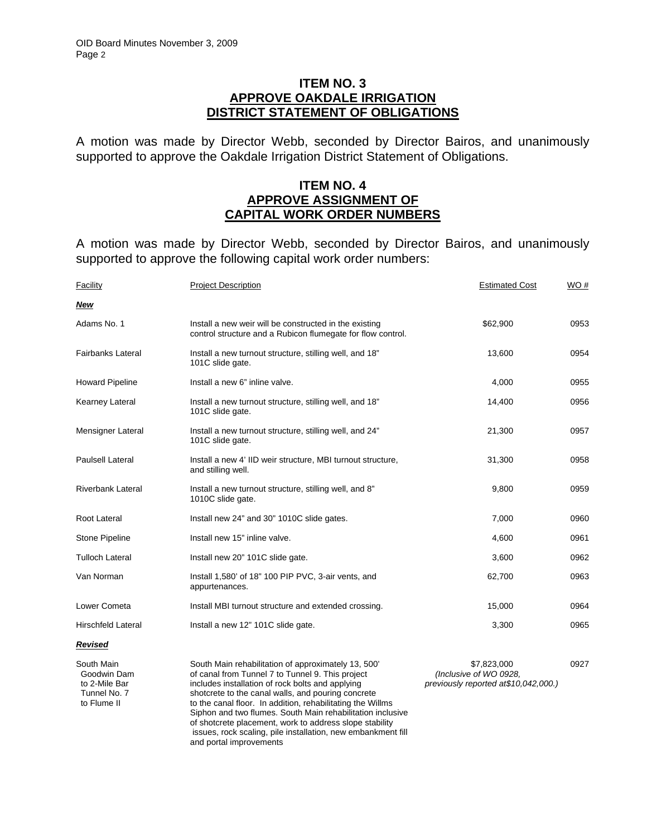## **ITEM NO. 3 APPROVE OAKDALE IRRIGATION DISTRICT STATEMENT OF OBLIGATIONS**

A motion was made by Director Webb, seconded by Director Bairos, and unanimously supported to approve the Oakdale Irrigation District Statement of Obligations.

#### **ITEM NO. 4 APPROVE ASSIGNMENT OF CAPITAL WORK ORDER NUMBERS**

A motion was made by Director Webb, seconded by Director Bairos, and unanimously supported to approve the following capital work order numbers:

| Facility                                                                  | <b>Project Description</b>                                                                                                                                                                                                                                                                                                                                                                               | <b>Estimated Cost</b>                                                          | WO#  |
|---------------------------------------------------------------------------|----------------------------------------------------------------------------------------------------------------------------------------------------------------------------------------------------------------------------------------------------------------------------------------------------------------------------------------------------------------------------------------------------------|--------------------------------------------------------------------------------|------|
| <b>New</b>                                                                |                                                                                                                                                                                                                                                                                                                                                                                                          |                                                                                |      |
| Adams No. 1                                                               | Install a new weir will be constructed in the existing<br>control structure and a Rubicon flumegate for flow control.                                                                                                                                                                                                                                                                                    | \$62,900                                                                       | 0953 |
| <b>Fairbanks Lateral</b>                                                  | Install a new turnout structure, stilling well, and 18"<br>101C slide gate.                                                                                                                                                                                                                                                                                                                              | 13,600                                                                         | 0954 |
| <b>Howard Pipeline</b>                                                    | Install a new 6" inline valve.                                                                                                                                                                                                                                                                                                                                                                           | 4,000                                                                          | 0955 |
| <b>Kearney Lateral</b>                                                    | Install a new turnout structure, stilling well, and 18"<br>101C slide gate.                                                                                                                                                                                                                                                                                                                              | 14,400                                                                         | 0956 |
| Mensigner Lateral                                                         | Install a new turnout structure, stilling well, and 24"<br>101C slide gate.                                                                                                                                                                                                                                                                                                                              | 21,300                                                                         | 0957 |
| <b>Paulsell Lateral</b>                                                   | Install a new 4' IID weir structure, MBI turnout structure,<br>and stilling well.                                                                                                                                                                                                                                                                                                                        | 31,300                                                                         | 0958 |
| <b>Riverbank Lateral</b>                                                  | Install a new turnout structure, stilling well, and 8"<br>1010C slide gate.                                                                                                                                                                                                                                                                                                                              | 9,800                                                                          | 0959 |
| Root Lateral                                                              | Install new 24" and 30" 1010C slide gates.                                                                                                                                                                                                                                                                                                                                                               | 7,000                                                                          | 0960 |
| <b>Stone Pipeline</b>                                                     | Install new 15" inline valve.                                                                                                                                                                                                                                                                                                                                                                            | 4,600                                                                          | 0961 |
| <b>Tulloch Lateral</b>                                                    | Install new 20" 101C slide gate.                                                                                                                                                                                                                                                                                                                                                                         | 3,600                                                                          | 0962 |
| Van Norman                                                                | Install 1,580' of 18" 100 PIP PVC, 3-air vents, and<br>appurtenances.                                                                                                                                                                                                                                                                                                                                    | 62,700                                                                         | 0963 |
| Lower Cometa                                                              | Install MBI turnout structure and extended crossing.                                                                                                                                                                                                                                                                                                                                                     | 15,000                                                                         | 0964 |
| <b>Hirschfeld Lateral</b>                                                 | Install a new 12" 101C slide gate.                                                                                                                                                                                                                                                                                                                                                                       | 3,300                                                                          | 0965 |
| <b>Revised</b>                                                            |                                                                                                                                                                                                                                                                                                                                                                                                          |                                                                                |      |
| South Main<br>Goodwin Dam<br>to 2-Mile Bar<br>Tunnel No. 7<br>to Flume II | South Main rehabilitation of approximately 13, 500'<br>of canal from Tunnel 7 to Tunnel 9. This project<br>includes installation of rock bolts and applying<br>shotcrete to the canal walls, and pouring concrete<br>to the canal floor. In addition, rehabilitating the Willms<br>Siphon and two flumes. South Main rehabilitation inclusive<br>of shotcrete placement, work to address slope stability | \$7,823,000<br>(Inclusive of WO 0928,<br>previously reported at \$10,042,000.) | 0927 |

issues, rock scaling, pile installation, new embankment fill

and portal improvements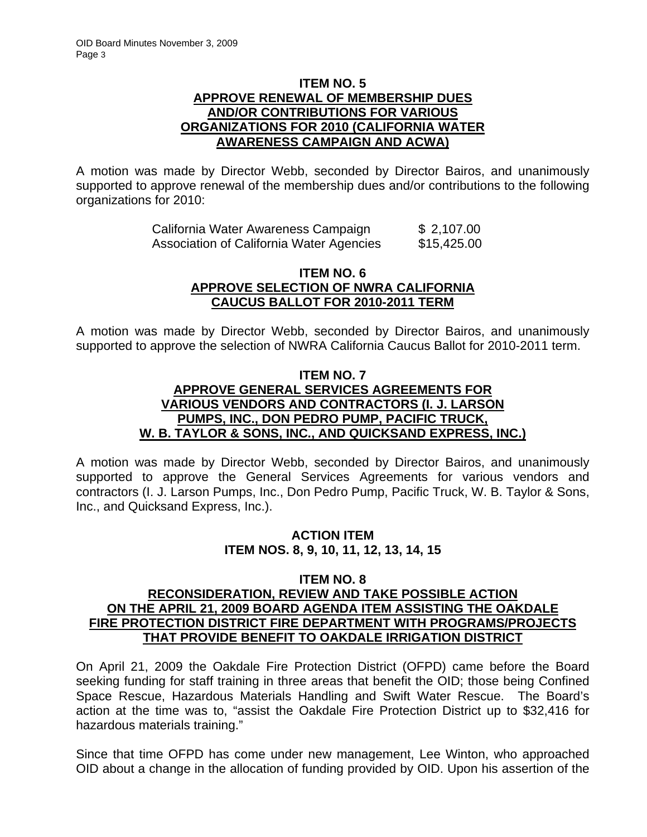# **ITEM NO. 5 APPROVE RENEWAL OF MEMBERSHIP DUES AND/OR CONTRIBUTIONS FOR VARIOUS ORGANIZATIONS FOR 2010 (CALIFORNIA WATER AWARENESS CAMPAIGN AND ACWA)**

A motion was made by Director Webb, seconded by Director Bairos, and unanimously supported to approve renewal of the membership dues and/or contributions to the following organizations for 2010:

| California Water Awareness Campaign      | \$2,107.00  |
|------------------------------------------|-------------|
| Association of California Water Agencies | \$15,425.00 |

## **ITEM NO. 6 APPROVE SELECTION OF NWRA CALIFORNIA CAUCUS BALLOT FOR 2010-2011 TERM**

A motion was made by Director Webb, seconded by Director Bairos, and unanimously supported to approve the selection of NWRA California Caucus Ballot for 2010-2011 term.

## **ITEM NO. 7 APPROVE GENERAL SERVICES AGREEMENTS FOR VARIOUS VENDORS AND CONTRACTORS (I. J. LARSON PUMPS, INC., DON PEDRO PUMP, PACIFIC TRUCK, W. B. TAYLOR & SONS, INC., AND QUICKSAND EXPRESS, INC.)**

A motion was made by Director Webb, seconded by Director Bairos, and unanimously supported to approve the General Services Agreements for various vendors and contractors (I. J. Larson Pumps, Inc., Don Pedro Pump, Pacific Truck, W. B. Taylor & Sons, Inc., and Quicksand Express, Inc.).

# **ACTION ITEM ITEM NOS. 8, 9, 10, 11, 12, 13, 14, 15**

# **ITEM NO. 8**

# **RECONSIDERATION, REVIEW AND TAKE POSSIBLE ACTION ON THE APRIL 21, 2009 BOARD AGENDA ITEM ASSISTING THE OAKDALE FIRE PROTECTION DISTRICT FIRE DEPARTMENT WITH PROGRAMS/PROJECTS THAT PROVIDE BENEFIT TO OAKDALE IRRIGATION DISTRICT**

On April 21, 2009 the Oakdale Fire Protection District (OFPD) came before the Board seeking funding for staff training in three areas that benefit the OID; those being Confined Space Rescue, Hazardous Materials Handling and Swift Water Rescue. The Board's action at the time was to, "assist the Oakdale Fire Protection District up to \$32,416 for hazardous materials training."

Since that time OFPD has come under new management, Lee Winton, who approached OID about a change in the allocation of funding provided by OID. Upon his assertion of the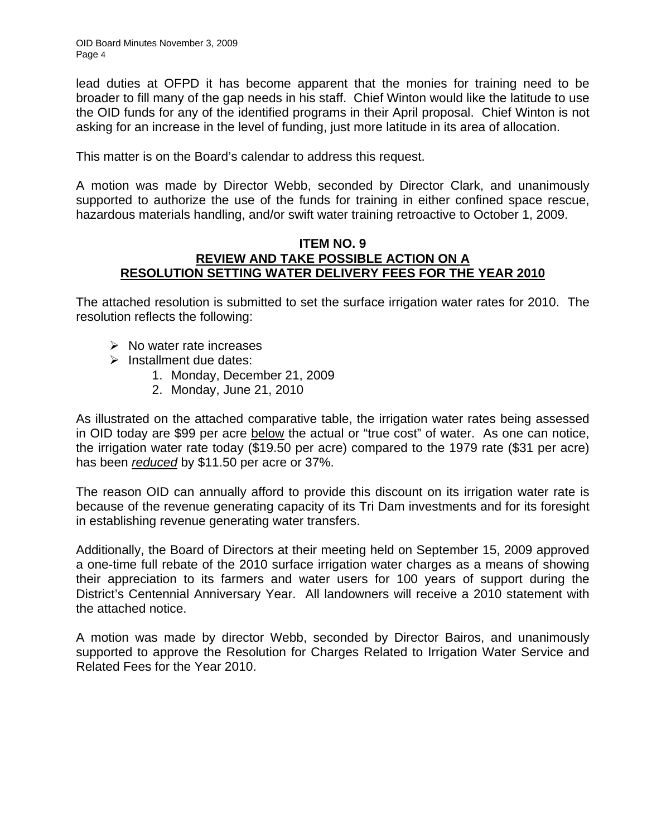lead duties at OFPD it has become apparent that the monies for training need to be broader to fill many of the gap needs in his staff. Chief Winton would like the latitude to use the OID funds for any of the identified programs in their April proposal. Chief Winton is not asking for an increase in the level of funding, just more latitude in its area of allocation.

This matter is on the Board's calendar to address this request.

A motion was made by Director Webb, seconded by Director Clark, and unanimously supported to authorize the use of the funds for training in either confined space rescue, hazardous materials handling, and/or swift water training retroactive to October 1, 2009.

#### **ITEM NO. 9 REVIEW AND TAKE POSSIBLE ACTION ON A RESOLUTION SETTING WATER DELIVERY FEES FOR THE YEAR 2010**

The attached resolution is submitted to set the surface irrigation water rates for 2010. The resolution reflects the following:

- $\triangleright$  No water rate increases
- $\triangleright$  Installment due dates:
	- 1. Monday, December 21, 2009
	- 2. Monday, June 21, 2010

As illustrated on the attached comparative table, the irrigation water rates being assessed in OID today are \$99 per acre below the actual or "true cost" of water. As one can notice, the irrigation water rate today (\$19.50 per acre) compared to the 1979 rate (\$31 per acre) has been *reduced* by \$11.50 per acre or 37%.

The reason OID can annually afford to provide this discount on its irrigation water rate is because of the revenue generating capacity of its Tri Dam investments and for its foresight in establishing revenue generating water transfers.

Additionally, the Board of Directors at their meeting held on September 15, 2009 approved a one-time full rebate of the 2010 surface irrigation water charges as a means of showing their appreciation to its farmers and water users for 100 years of support during the District's Centennial Anniversary Year. All landowners will receive a 2010 statement with the attached notice.

A motion was made by director Webb, seconded by Director Bairos, and unanimously supported to approve the Resolution for Charges Related to Irrigation Water Service and Related Fees for the Year 2010.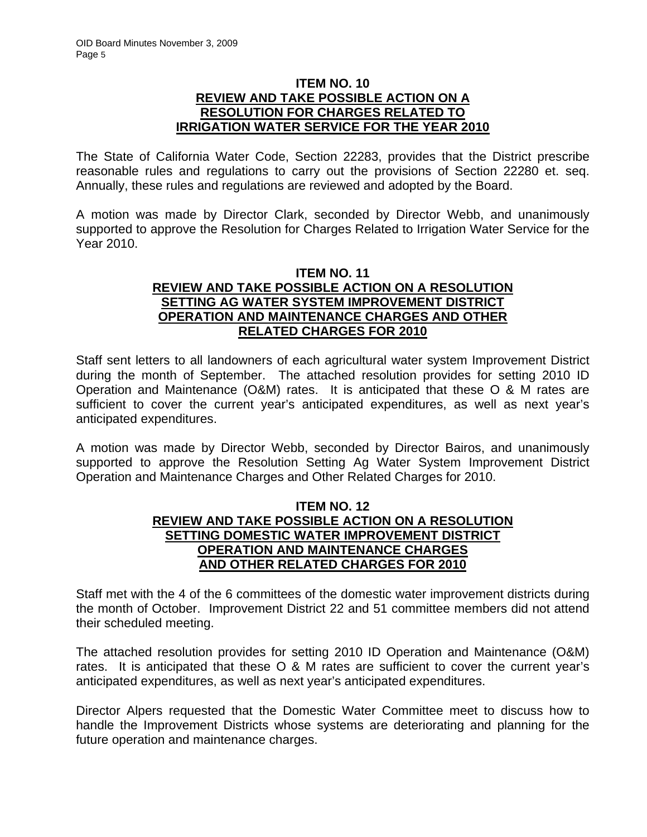## **ITEM NO. 10 REVIEW AND TAKE POSSIBLE ACTION ON A RESOLUTION FOR CHARGES RELATED TO IRRIGATION WATER SERVICE FOR THE YEAR 2010**

The State of California Water Code, Section 22283, provides that the District prescribe reasonable rules and regulations to carry out the provisions of Section 22280 et. seq. Annually, these rules and regulations are reviewed and adopted by the Board.

A motion was made by Director Clark, seconded by Director Webb, and unanimously supported to approve the Resolution for Charges Related to Irrigation Water Service for the Year 2010.

## **ITEM NO. 11 REVIEW AND TAKE POSSIBLE ACTION ON A RESOLUTION SETTING AG WATER SYSTEM IMPROVEMENT DISTRICT OPERATION AND MAINTENANCE CHARGES AND OTHER RELATED CHARGES FOR 2010**

Staff sent letters to all landowners of each agricultural water system Improvement District during the month of September. The attached resolution provides for setting 2010 ID Operation and Maintenance (O&M) rates. It is anticipated that these O & M rates are sufficient to cover the current year's anticipated expenditures, as well as next year's anticipated expenditures.

A motion was made by Director Webb, seconded by Director Bairos, and unanimously supported to approve the Resolution Setting Ag Water System Improvement District Operation and Maintenance Charges and Other Related Charges for 2010.

# **ITEM NO. 12 REVIEW AND TAKE POSSIBLE ACTION ON A RESOLUTION SETTING DOMESTIC WATER IMPROVEMENT DISTRICT OPERATION AND MAINTENANCE CHARGES AND OTHER RELATED CHARGES FOR 2010**

Staff met with the 4 of the 6 committees of the domestic water improvement districts during the month of October. Improvement District 22 and 51 committee members did not attend their scheduled meeting.

The attached resolution provides for setting 2010 ID Operation and Maintenance (O&M) rates. It is anticipated that these O & M rates are sufficient to cover the current year's anticipated expenditures, as well as next year's anticipated expenditures.

Director Alpers requested that the Domestic Water Committee meet to discuss how to handle the Improvement Districts whose systems are deteriorating and planning for the future operation and maintenance charges.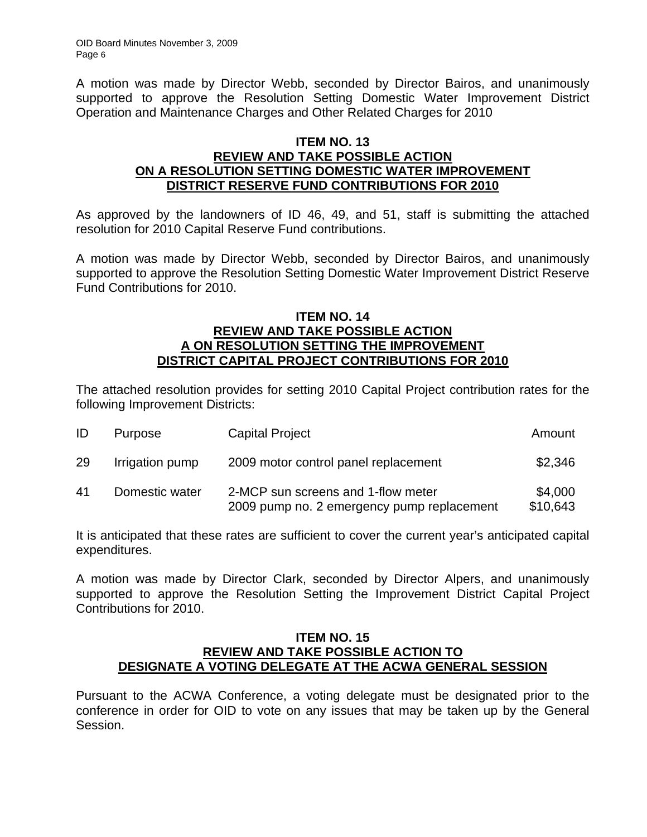A motion was made by Director Webb, seconded by Director Bairos, and unanimously supported to approve the Resolution Setting Domestic Water Improvement District Operation and Maintenance Charges and Other Related Charges for 2010

## **ITEM NO. 13 REVIEW AND TAKE POSSIBLE ACTION ON A RESOLUTION SETTING DOMESTIC WATER IMPROVEMENT DISTRICT RESERVE FUND CONTRIBUTIONS FOR 2010**

As approved by the landowners of ID 46, 49, and 51, staff is submitting the attached resolution for 2010 Capital Reserve Fund contributions.

A motion was made by Director Webb, seconded by Director Bairos, and unanimously supported to approve the Resolution Setting Domestic Water Improvement District Reserve Fund Contributions for 2010.

## **ITEM NO. 14 REVIEW AND TAKE POSSIBLE ACTION A ON RESOLUTION SETTING THE IMPROVEMENT DISTRICT CAPITAL PROJECT CONTRIBUTIONS FOR 2010**

The attached resolution provides for setting 2010 Capital Project contribution rates for the following Improvement Districts:

| ID | Purpose         | <b>Capital Project</b>                                                           | Amount              |
|----|-----------------|----------------------------------------------------------------------------------|---------------------|
| 29 | Irrigation pump | 2009 motor control panel replacement                                             | \$2,346             |
| 41 | Domestic water  | 2-MCP sun screens and 1-flow meter<br>2009 pump no. 2 emergency pump replacement | \$4,000<br>\$10,643 |

It is anticipated that these rates are sufficient to cover the current year's anticipated capital expenditures.

A motion was made by Director Clark, seconded by Director Alpers, and unanimously supported to approve the Resolution Setting the Improvement District Capital Project Contributions for 2010.

#### **ITEM NO. 15 REVIEW AND TAKE POSSIBLE ACTION TO DESIGNATE A VOTING DELEGATE AT THE ACWA GENERAL SESSION**

Pursuant to the ACWA Conference, a voting delegate must be designated prior to the conference in order for OID to vote on any issues that may be taken up by the General Session.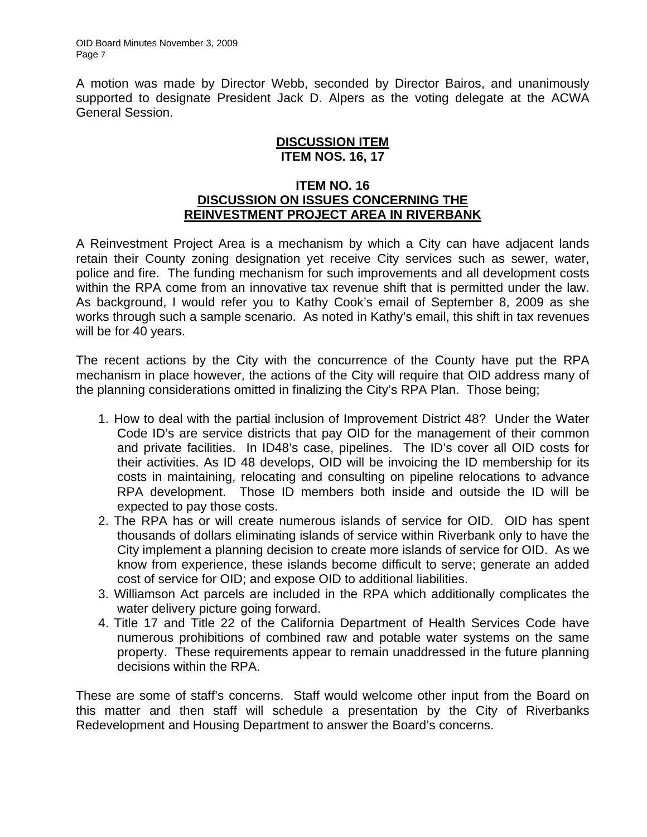A motion was made by Director Webb, seconded by Director Bairos, and unanimously supported to designate President Jack D. Alpers as the voting delegate at the ACWA General Session.

## **DISCUSSION ITEM ITEM NOS. 16, 17**

## **ITEM NO. 16 DISCUSSION ON ISSUES CONCERNING THE REINVESTMENT PROJECT AREA IN RIVERBANK**

A Reinvestment Project Area is a mechanism by which a City can have adjacent lands retain their County zoning designation yet receive City services such as sewer, water, police and fire. The funding mechanism for such improvements and all development costs within the RPA come from an innovative tax revenue shift that is permitted under the law. As background, I would refer you to Kathy Cook's email of September 8, 2009 as she works through such a sample scenario. As noted in Kathy's email, this shift in tax revenues will be for 40 years.

The recent actions by the City with the concurrence of the County have put the RPA mechanism in place however, the actions of the City will require that OID address many of the planning considerations omitted in finalizing the City's RPA Plan. Those being;

- 1. How to deal with the partial inclusion of Improvement District 48? Under the Water Code ID's are service districts that pay OID for the management of their common and private facilities. In ID48's case, pipelines. The ID's cover all OID costs for their activities. As ID 48 develops, OID will be invoicing the ID membership for its costs in maintaining, relocating and consulting on pipeline relocations to advance RPA development. Those ID members both inside and outside the ID will be expected to pay those costs.
- 2. The RPA has or will create numerous islands of service for OID. OID has spent thousands of dollars eliminating islands of service within Riverbank only to have the City implement a planning decision to create more islands of service for OID. As we know from experience, these islands become difficult to serve; generate an added cost of service for OID; and expose OID to additional liabilities.
- 3. Williamson Act parcels are included in the RPA which additionally complicates the water delivery picture going forward.
- 4. Title 17 and Title 22 of the California Department of Health Services Code have numerous prohibitions of combined raw and potable water systems on the same property. These requirements appear to remain unaddressed in the future planning decisions within the RPA.

These are some of staff's concerns. Staff would welcome other input from the Board on this matter and then staff will schedule a presentation by the City of Riverbanks Redevelopment and Housing Department to answer the Board's concerns.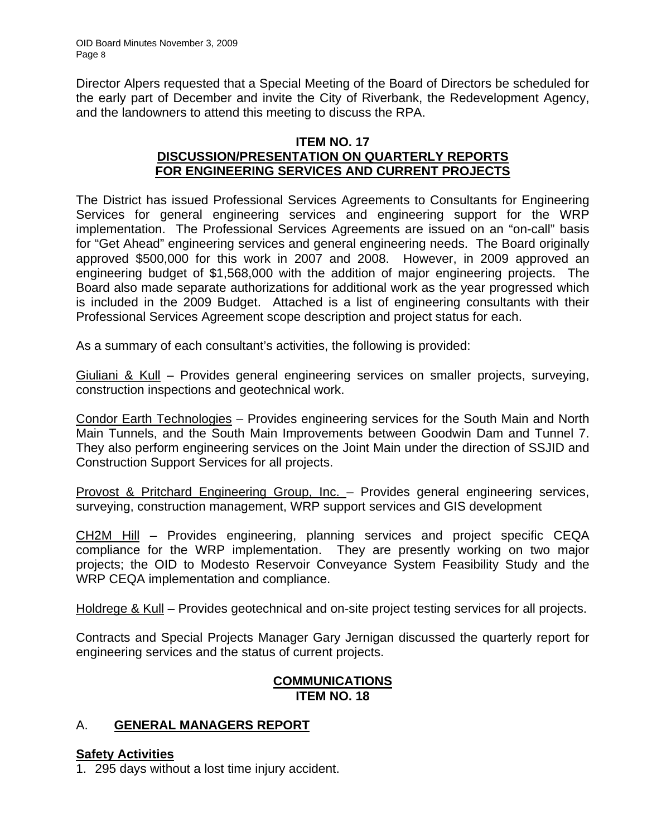Director Alpers requested that a Special Meeting of the Board of Directors be scheduled for the early part of December and invite the City of Riverbank, the Redevelopment Agency, and the landowners to attend this meeting to discuss the RPA.

# **ITEM NO. 17 DISCUSSION/PRESENTATION ON QUARTERLY REPORTS FOR ENGINEERING SERVICES AND CURRENT PROJECTS**

The District has issued Professional Services Agreements to Consultants for Engineering Services for general engineering services and engineering support for the WRP implementation. The Professional Services Agreements are issued on an "on-call" basis for "Get Ahead" engineering services and general engineering needs. The Board originally approved \$500,000 for this work in 2007 and 2008. However, in 2009 approved an engineering budget of \$1,568,000 with the addition of major engineering projects. The Board also made separate authorizations for additional work as the year progressed which is included in the 2009 Budget. Attached is a list of engineering consultants with their Professional Services Agreement scope description and project status for each.

As a summary of each consultant's activities, the following is provided:

Giuliani & Kull – Provides general engineering services on smaller projects, surveying, construction inspections and geotechnical work.

Condor Earth Technologies – Provides engineering services for the South Main and North Main Tunnels, and the South Main Improvements between Goodwin Dam and Tunnel 7. They also perform engineering services on the Joint Main under the direction of SSJID and Construction Support Services for all projects.

Provost & Pritchard Engineering Group, Inc. – Provides general engineering services, surveying, construction management, WRP support services and GIS development

CH2M Hill – Provides engineering, planning services and project specific CEQA compliance for the WRP implementation. They are presently working on two major projects; the OID to Modesto Reservoir Conveyance System Feasibility Study and the WRP CEQA implementation and compliance.

Holdrege & Kull – Provides geotechnical and on-site project testing services for all projects.

Contracts and Special Projects Manager Gary Jernigan discussed the quarterly report for engineering services and the status of current projects.

# **COMMUNICATIONS ITEM NO. 18**

# A. **GENERAL MANAGERS REPORT**

# **Safety Activities**

1. 295 days without a lost time injury accident.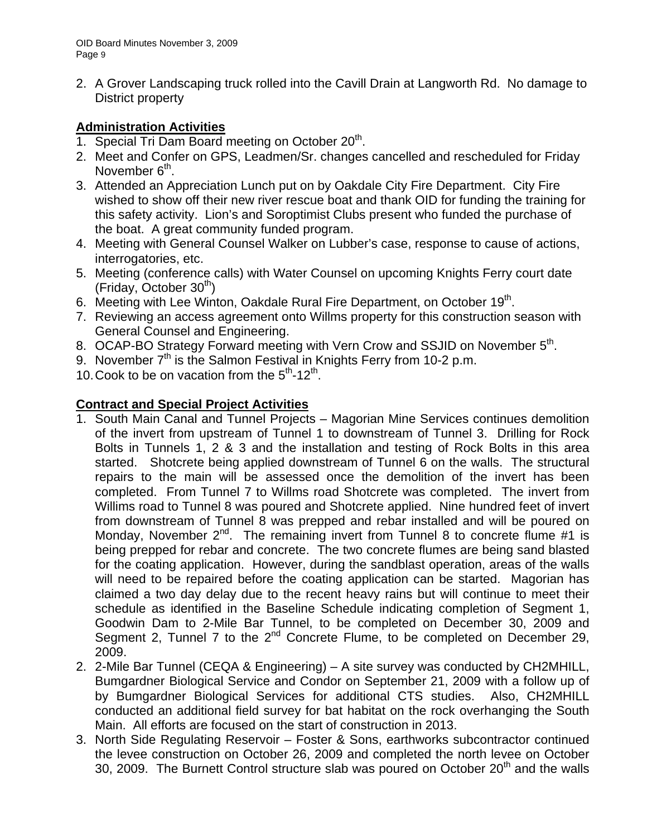2. A Grover Landscaping truck rolled into the Cavill Drain at Langworth Rd. No damage to District property

# **Administration Activities**

- 1. Special Tri Dam Board meeting on October  $20<sup>th</sup>$ .
- 2. Meet and Confer on GPS, Leadmen/Sr. changes cancelled and rescheduled for Friday November  $6<sup>th</sup>$ .
- 3. Attended an Appreciation Lunch put on by Oakdale City Fire Department. City Fire wished to show off their new river rescue boat and thank OID for funding the training for this safety activity. Lion's and Soroptimist Clubs present who funded the purchase of the boat. A great community funded program.
- 4. Meeting with General Counsel Walker on Lubber's case, response to cause of actions, interrogatories, etc.
- 5. Meeting (conference calls) with Water Counsel on upcoming Knights Ferry court date  $(Fridav, October 30<sup>th</sup>)$
- 6. Meeting with Lee Winton, Oakdale Rural Fire Department, on October 19<sup>th</sup>.
- 7. Reviewing an access agreement onto Willms property for this construction season with General Counsel and Engineering.
- 8. OCAP-BO Strategy Forward meeting with Vern Crow and SSJID on November 5<sup>th</sup>.
- 9. November 7<sup>th</sup> is the Salmon Festival in Knights Ferry from 10-2 p.m.
- 10. Cook to be on vacation from the  $5<sup>th</sup>$ -12<sup>th</sup>.

# **Contract and Special Project Activities**

- 1. South Main Canal and Tunnel Projects Magorian Mine Services continues demolition of the invert from upstream of Tunnel 1 to downstream of Tunnel 3. Drilling for Rock Bolts in Tunnels 1, 2 & 3 and the installation and testing of Rock Bolts in this area started. Shotcrete being applied downstream of Tunnel 6 on the walls. The structural repairs to the main will be assessed once the demolition of the invert has been completed. From Tunnel 7 to Willms road Shotcrete was completed. The invert from Willims road to Tunnel 8 was poured and Shotcrete applied. Nine hundred feet of invert from downstream of Tunnel 8 was prepped and rebar installed and will be poured on Monday, November  $2^{nd}$ . The remaining invert from Tunnel 8 to concrete flume #1 is being prepped for rebar and concrete. The two concrete flumes are being sand blasted for the coating application. However, during the sandblast operation, areas of the walls will need to be repaired before the coating application can be started. Magorian has claimed a two day delay due to the recent heavy rains but will continue to meet their schedule as identified in the Baseline Schedule indicating completion of Segment 1, Goodwin Dam to 2-Mile Bar Tunnel, to be completed on December 30, 2009 and Segment 2, Tunnel 7 to the  $2^{nd}$  Concrete Flume, to be completed on December 29, 2009.
- 2. 2-Mile Bar Tunnel (CEQA & Engineering) A site survey was conducted by CH2MHILL, Bumgardner Biological Service and Condor on September 21, 2009 with a follow up of by Bumgardner Biological Services for additional CTS studies. Also, CH2MHILL conducted an additional field survey for bat habitat on the rock overhanging the South Main. All efforts are focused on the start of construction in 2013.
- 3. North Side Regulating Reservoir Foster & Sons, earthworks subcontractor continued the levee construction on October 26, 2009 and completed the north levee on October 30, 2009. The Burnett Control structure slab was poured on October  $20<sup>th</sup>$  and the walls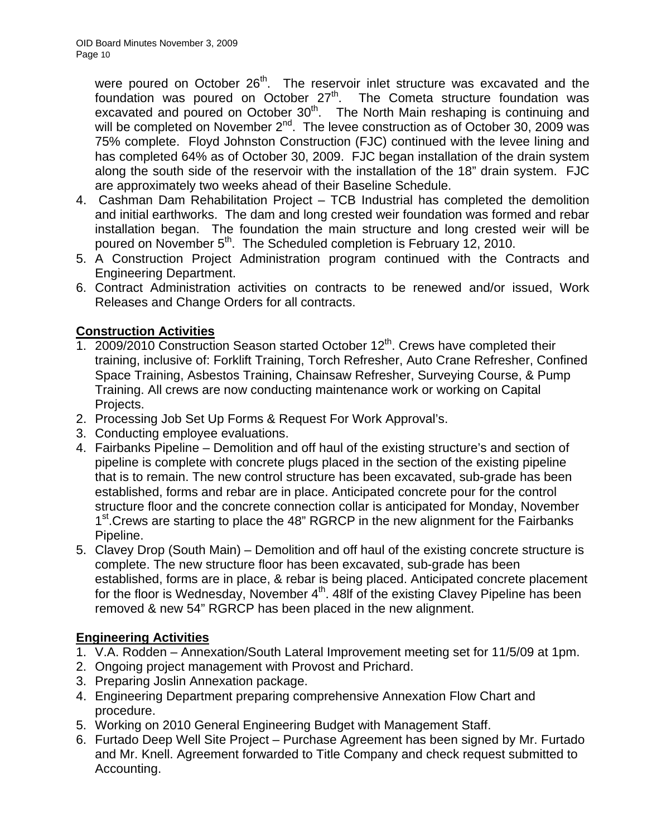were poured on October 26<sup>th</sup>. The reservoir inlet structure was excavated and the foundation was poured on October  $27<sup>th</sup>$ . The Cometa structure foundation was excavated and poured on October 30<sup>th</sup>. The North Main reshaping is continuing and will be completed on November 2<sup>nd</sup>. The levee construction as of October 30, 2009 was 75% complete. Floyd Johnston Construction (FJC) continued with the levee lining and has completed 64% as of October 30, 2009. FJC began installation of the drain system along the south side of the reservoir with the installation of the 18" drain system. FJC are approximately two weeks ahead of their Baseline Schedule.

- 4. Cashman Dam Rehabilitation Project TCB Industrial has completed the demolition and initial earthworks. The dam and long crested weir foundation was formed and rebar installation began. The foundation the main structure and long crested weir will be poured on November 5<sup>th</sup>. The Scheduled completion is February 12, 2010.
- 5. A Construction Project Administration program continued with the Contracts and Engineering Department.
- 6. Contract Administration activities on contracts to be renewed and/or issued, Work Releases and Change Orders for all contracts.

# **Construction Activities**

- 1. 2009/2010 Construction Season started October 12<sup>th</sup>. Crews have completed their training, inclusive of: Forklift Training, Torch Refresher, Auto Crane Refresher, Confined Space Training, Asbestos Training, Chainsaw Refresher, Surveying Course, & Pump Training. All crews are now conducting maintenance work or working on Capital Projects.
- 2. Processing Job Set Up Forms & Request For Work Approval's.
- 3. Conducting employee evaluations.
- 4. Fairbanks Pipeline Demolition and off haul of the existing structure's and section of pipeline is complete with concrete plugs placed in the section of the existing pipeline that is to remain. The new control structure has been excavated, sub-grade has been established, forms and rebar are in place. Anticipated concrete pour for the control structure floor and the concrete connection collar is anticipated for Monday, November 1<sup>st</sup>. Crews are starting to place the 48" RGRCP in the new alignment for the Fairbanks Pipeline.
- 5. Clavey Drop (South Main) Demolition and off haul of the existing concrete structure is complete. The new structure floor has been excavated, sub-grade has been established, forms are in place, & rebar is being placed. Anticipated concrete placement for the floor is Wednesday, November  $4<sup>th</sup>$ . 48lf of the existing Clavey Pipeline has been removed & new 54" RGRCP has been placed in the new alignment.

# **Engineering Activities**

- 1. V.A. Rodden Annexation/South Lateral Improvement meeting set for 11/5/09 at 1pm.
- 2. Ongoing project management with Provost and Prichard.
- 3. Preparing Joslin Annexation package.
- 4. Engineering Department preparing comprehensive Annexation Flow Chart and procedure.
- 5. Working on 2010 General Engineering Budget with Management Staff.
- 6. Furtado Deep Well Site Project Purchase Agreement has been signed by Mr. Furtado and Mr. Knell. Agreement forwarded to Title Company and check request submitted to Accounting.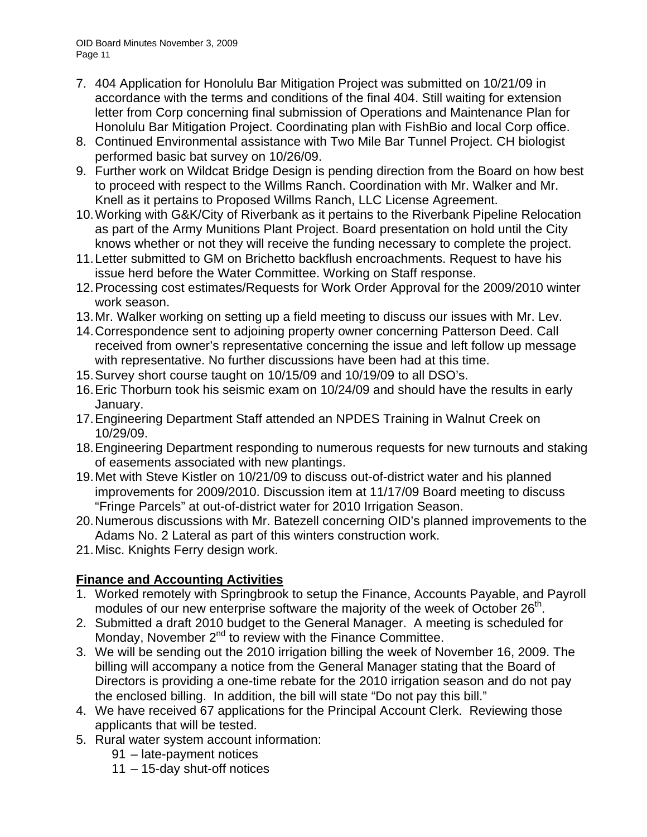OID Board Minutes November 3, 2009 Page 11

- 7. 404 Application for Honolulu Bar Mitigation Project was submitted on 10/21/09 in accordance with the terms and conditions of the final 404. Still waiting for extension letter from Corp concerning final submission of Operations and Maintenance Plan for Honolulu Bar Mitigation Project. Coordinating plan with FishBio and local Corp office.
- 8. Continued Environmental assistance with Two Mile Bar Tunnel Project. CH biologist performed basic bat survey on 10/26/09.
- 9. Further work on Wildcat Bridge Design is pending direction from the Board on how best to proceed with respect to the Willms Ranch. Coordination with Mr. Walker and Mr. Knell as it pertains to Proposed Willms Ranch, LLC License Agreement.
- 10. Working with G&K/City of Riverbank as it pertains to the Riverbank Pipeline Relocation as part of the Army Munitions Plant Project. Board presentation on hold until the City knows whether or not they will receive the funding necessary to complete the project.
- 11. Letter submitted to GM on Brichetto backflush encroachments. Request to have his issue herd before the Water Committee. Working on Staff response.
- 12. Processing cost estimates/Requests for Work Order Approval for the 2009/2010 winter work season.
- 13. Mr. Walker working on setting up a field meeting to discuss our issues with Mr. Lev.
- 14. Correspondence sent to adjoining property owner concerning Patterson Deed. Call received from owner's representative concerning the issue and left follow up message with representative. No further discussions have been had at this time.
- 15. Survey short course taught on 10/15/09 and 10/19/09 to all DSO's.
- 16. Eric Thorburn took his seismic exam on 10/24/09 and should have the results in early January.
- 17. Engineering Department Staff attended an NPDES Training in Walnut Creek on 10/29/09.
- 18. Engineering Department responding to numerous requests for new turnouts and staking of easements associated with new plantings.
- 19. Met with Steve Kistler on 10/21/09 to discuss out-of-district water and his planned improvements for 2009/2010. Discussion item at 11/17/09 Board meeting to discuss "Fringe Parcels" at out-of-district water for 2010 Irrigation Season.
- 20. Numerous discussions with Mr. Batezell concerning OID's planned improvements to the Adams No. 2 Lateral as part of this winters construction work.
- 21. Misc. Knights Ferry design work.

# **Finance and Accounting Activities**

- 1. Worked remotely with Springbrook to setup the Finance, Accounts Payable, and Payroll modules of our new enterprise software the majority of the week of October 26<sup>th</sup>.
- 2. Submitted a draft 2010 budget to the General Manager. A meeting is scheduled for Monday, November 2<sup>nd</sup> to review with the Finance Committee.
- 3. We will be sending out the 2010 irrigation billing the week of November 16, 2009. The billing will accompany a notice from the General Manager stating that the Board of Directors is providing a one-time rebate for the 2010 irrigation season and do not pay the enclosed billing. In addition, the bill will state "Do not pay this bill."
- 4. We have received 67 applications for the Principal Account Clerk. Reviewing those applicants that will be tested.
- 5. Rural water system account information:
	- 91 late-payment notices
	- 11 15-day shut-off notices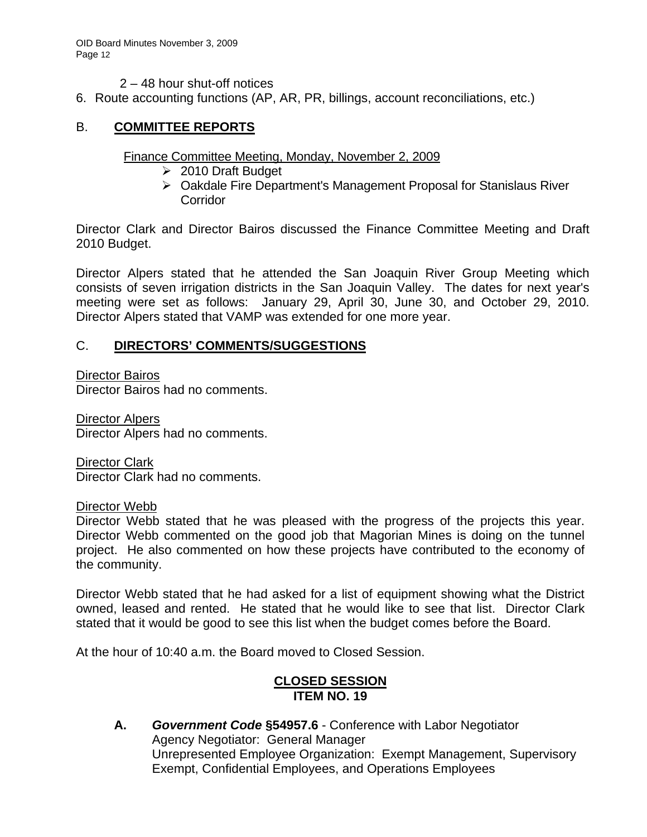2 – 48 hour shut-off notices

6. Route accounting functions (AP, AR, PR, billings, account reconciliations, etc.)

# B. **COMMITTEE REPORTS**

# Finance Committee Meeting, Monday, November 2, 2009

- $\geq 2010$  Draft Budget
- ¾ Oakdale Fire Department's Management Proposal for Stanislaus River **Corridor**

Director Clark and Director Bairos discussed the Finance Committee Meeting and Draft 2010 Budget.

Director Alpers stated that he attended the San Joaquin River Group Meeting which consists of seven irrigation districts in the San Joaquin Valley. The dates for next year's meeting were set as follows: January 29, April 30, June 30, and October 29, 2010. Director Alpers stated that VAMP was extended for one more year.

# C. **DIRECTORS' COMMENTS/SUGGESTIONS**

Director Bairos

Director Bairos had no comments.

Director Alpers Director Alpers had no comments.

Director Clark Director Clark had no comments.

Director Webb

Director Webb stated that he was pleased with the progress of the projects this year. Director Webb commented on the good job that Magorian Mines is doing on the tunnel project. He also commented on how these projects have contributed to the economy of the community.

Director Webb stated that he had asked for a list of equipment showing what the District owned, leased and rented. He stated that he would like to see that list. Director Clark stated that it would be good to see this list when the budget comes before the Board.

At the hour of 10:40 a.m. the Board moved to Closed Session.

# **CLOSED SESSION ITEM NO. 19**

**A.** *Government Code* **§54957.6** - Conference with Labor Negotiator Agency Negotiator: General Manager Unrepresented Employee Organization: Exempt Management, Supervisory Exempt, Confidential Employees, and Operations Employees